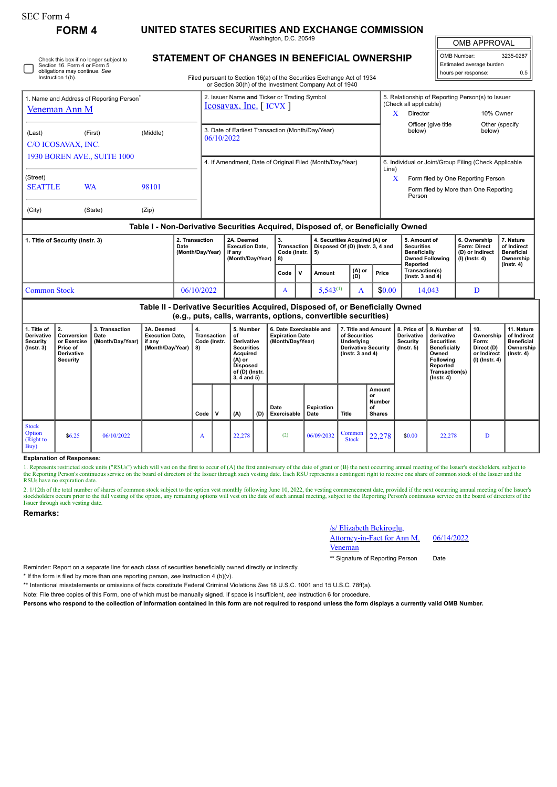П

Check this box if no longer subject to Section 16. Form 4 or Form 5 obligations may continue. *See* Instruction 1(b).

**FORM 4 UNITED STATES SECURITIES AND EXCHANGE COMMISSION**

Washington, D.C. 20549 **STATEMENT OF CHANGES IN BENEFICIAL OWNERSHIP**

Filed pursuant to Section 16(a) of the Securities Exchange Act of 1934

OMB APPROVAL

 $\mathbb{I}$ 

| OMB Number:              | 3235-0287 |
|--------------------------|-----------|
| Estimated average burden |           |
| hours per response:      | 0.5       |

|                                                                       |           |       |                                    |  | or Section 30(h) of the Investment Company Act of 1940                           |                                                                   |  |                                                                              |          |         |                                                                                                           |                                                                          |                                                                                |  |  |
|-----------------------------------------------------------------------|-----------|-------|------------------------------------|--|----------------------------------------------------------------------------------|-------------------------------------------------------------------|--|------------------------------------------------------------------------------|----------|---------|-----------------------------------------------------------------------------------------------------------|--------------------------------------------------------------------------|--------------------------------------------------------------------------------|--|--|
| 1. Name and Address of Reporting Person <sup>®</sup><br>Veneman Ann M |           |       |                                    |  | 2. Issuer Name and Ticker or Trading Symbol<br>$Icosavax, Inc.$ [ICVX]           |                                                                   |  |                                                                              |          |         | 5. Relationship of Reporting Person(s) to Issuer<br>(Check all applicable)<br>10% Owner<br>Director       |                                                                          |                                                                                |  |  |
| (Middle)<br>(First)<br>(Last)<br>C/O ICOSAVAX, INC.                   |           |       |                                    |  | 3. Date of Earliest Transaction (Month/Day/Year)<br>06/10/2022                   |                                                                   |  |                                                                              |          |         | Officer (give title<br>below)                                                                             | below)                                                                   | Other (specify                                                                 |  |  |
| <b>1930 BOREN AVE., SUITE 1000</b>                                    |           |       |                                    |  | 4. If Amendment, Date of Original Filed (Month/Day/Year)                         |                                                                   |  |                                                                              |          |         | 6. Individual or Joint/Group Filing (Check Applicable<br>Line)                                            |                                                                          |                                                                                |  |  |
| (Street)<br><b>SEATTLE</b>                                            | <b>WA</b> | 98101 |                                    |  |                                                                                  |                                                                   |  |                                                                              |          | X       | Form filed by One Reporting Person<br>Form filed by More than One Reporting<br>Person                     |                                                                          |                                                                                |  |  |
| (City)                                                                | (State)   | (Zip) |                                    |  |                                                                                  |                                                                   |  |                                                                              |          |         |                                                                                                           |                                                                          |                                                                                |  |  |
|                                                                       |           |       |                                    |  | Table I - Non-Derivative Securities Acquired, Disposed of, or Beneficially Owned |                                                                   |  |                                                                              |          |         |                                                                                                           |                                                                          |                                                                                |  |  |
| 1. Title of Security (Instr. 3)<br>Date                               |           |       | 2. Transaction<br>(Month/Day/Year) |  | 2A. Deemed<br><b>Execution Date.</b><br>if any<br>(Month/Day/Year)               | 3.<br>Transaction<br>Code (Instr. $  5$ )<br>8)<br>$0.44 \pm 1.0$ |  | 4. Securities Acquired (A) or<br>Disposed Of (D) (Instr. 3, 4 and<br>$A = 1$ | $(A)$ or | لمحتمدا | 5. Amount of<br><b>Securities</b><br>Beneficially<br><b>Owned Following</b><br>Reported<br>Transaction(s) | 6. Ownership<br><b>Form: Direct</b><br>(D) or Indirect<br>(I) (Instr. 4) | 7. Nature<br>of Indirect<br><b>Beneficial</b><br>Ownership<br>$($ Instr. 4 $)$ |  |  |

|                                                                                                                                                 |            |  | Code $ V $ |  | Amount   | (A) or<br>(D) | Price  | Transaction(s)<br>( $lnstr. 3 and 4$ ) |  |  |  |  |
|-------------------------------------------------------------------------------------------------------------------------------------------------|------------|--|------------|--|----------|---------------|--------|----------------------------------------|--|--|--|--|
| <b>Common Stock</b>                                                                                                                             | 06/10/2022 |  |            |  | 5.543(1) |               | \$0.00 | 14.043                                 |  |  |  |  |
| Table II - Derivative Securities Acquired, Disposed of, or Beneficially Owned<br>(e.g., puts, calls, warrants, options, convertible securities) |            |  |            |  |          |               |        |                                        |  |  |  |  |

| 1. Title of<br><b>Derivative</b><br>Security<br>(Insert 3) | 2.<br>Conversion<br>or Exercise<br>Price of<br>Derivative<br><b>Security</b> | 3. Transaction<br>Date<br>(Month/Day/Year) | 3A. Deemed<br><b>Execution Date,</b><br>if any<br>(Month/Day/Year) | 4.<br>Transaction<br>Code (Instr.<br>8) |             | 5. Number<br>of<br>Derivative<br><b>Securities</b><br><b>Acquired</b><br>(A) or<br><b>Disposed</b><br>of (D) (Instr.<br>$3, 4$ and $5)$ |     | 6. Date Exercisable and<br><b>Expiration Date</b><br>(Month/Day/Year) |                    | 7. Title and Amount<br>of Securities<br>Underlying<br><b>Derivative Security</b><br>$($ Instr. 3 and 4 $)$ |                                                      | 8. Price of<br><b>Derivative</b><br>Security<br>$($ lnstr. 5 $)$ | 9. Number of<br>derivative<br><b>Securities</b><br>Beneficially<br>Owned<br>Following<br>Reported<br>Transaction(s)<br>$($ lnstr. 4 $)$ | 10.<br>Ownership<br>Form:<br>Direct (D)<br>or Indirect<br>(I) (Instr. 4) | 11. Nature<br>of Indirect<br><b>Beneficial</b><br>Ownership<br>(Instr. 4) |
|------------------------------------------------------------|------------------------------------------------------------------------------|--------------------------------------------|--------------------------------------------------------------------|-----------------------------------------|-------------|-----------------------------------------------------------------------------------------------------------------------------------------|-----|-----------------------------------------------------------------------|--------------------|------------------------------------------------------------------------------------------------------------|------------------------------------------------------|------------------------------------------------------------------|-----------------------------------------------------------------------------------------------------------------------------------------|--------------------------------------------------------------------------|---------------------------------------------------------------------------|
|                                                            |                                                                              |                                            |                                                                    | Code                                    | $\mathbf v$ | (A)                                                                                                                                     | (D) | Date<br>Exercisable                                                   | Expiration<br>Date | Title                                                                                                      | Amount<br>or<br><b>Number</b><br>οf<br><b>Shares</b> |                                                                  |                                                                                                                                         |                                                                          |                                                                           |
| <b>Stock</b><br><b>Option</b><br>(Right to<br>Buy)         | \$6.25                                                                       | 06/10/2022                                 |                                                                    | A                                       |             | 22,278                                                                                                                                  |     | (2)                                                                   | 06/09/2032         | Common<br><b>Stock</b>                                                                                     | 22,278                                               | \$0.00                                                           | 22,278                                                                                                                                  | D                                                                        |                                                                           |

**Explanation of Responses:**

1. Represents restricted stock units ("RSUs") which will vest on the first to occur of (A) the first anniversary of the date of grant or (B) the next occurring annual meeting of the Issuer's stockholders, subject to the Reporting Person's continuous service on the board of directors of the Issuer through such vesting date. Each RSU represents a contingent right to receive one share of common stock of the Issuer and the RSUs have no expiration date.

2. 1/12th of the total number of shares of common stock subject to the option vest monthly following June 10, 2022, the vesting commencement date, provided if the next occurring annual meeting of the Issuer's stockholders Issuer through such vesting date.

## **Remarks:**

/s/ Elizabeth Bekiroglu, Attorney-in-Fact for Ann M.

Veneman

06/14/2022

\*\* Signature of Reporting Person Date

Reminder: Report on a separate line for each class of securities beneficially owned directly or indirectly.

\* If the form is filed by more than one reporting person, *see* Instruction 4 (b)(v).

\*\* Intentional misstatements or omissions of facts constitute Federal Criminal Violations *See* 18 U.S.C. 1001 and 15 U.S.C. 78ff(a).

Note: File three copies of this Form, one of which must be manually signed. If space is insufficient, *see* Instruction 6 for procedure.

**Persons who respond to the collection of information contained in this form are not required to respond unless the form displays a currently valid OMB Number.**